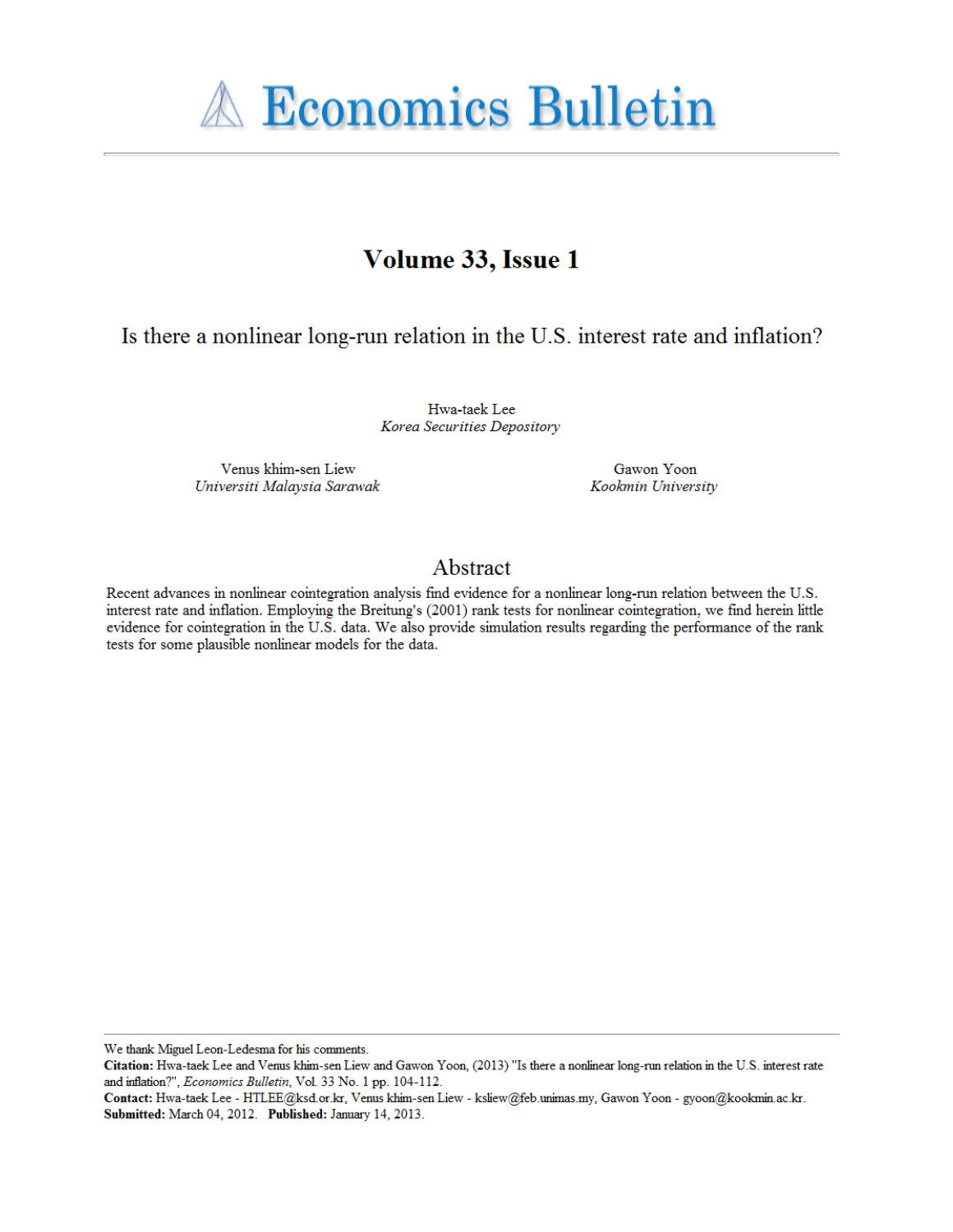

# Volume 33, Issue 1

Is there a nonlinear long-run relation in the U.S. interest rate and inflation?

Hwa-taek Lee Korea Securities Depository

Venus khim-sen Liew Universiti Malaysia Sarawak

Gawon Yoon Kookmin University

### Abstract

Recent advances in nonlinear cointegration analysis find evidence for a nonlinear long-run relation between the U.S. interest rate and inflation. Employing the Breitung's (2001) rank tests for nonlinear cointegration, we find herein little evidence for cointegration in the U.S. data. We also provide simulation results regarding the performance of the rank tests for some plausible nonlinear models for the data.

We thank Miguel Leon-Ledesma for his comments.

Citation: Hwa-taek Lee and Venus khim-sen Liew and Gawon Yoon, (2013) "Is there a nonlinear long-run relation in the U.S. interest rate and inflation?", Economics Bulletin, Vol. 33 No. 1 pp. 104-112.

Contact: Hwa-taek Lee - HTLEE@ksd.or.kr, Venus khim-sen Liew - ksliew@feb.unimas.my, Gawon Yoon - gyoon@kookmin.ac.kr. Submitted: March 04, 2012. Published: January 14, 2013.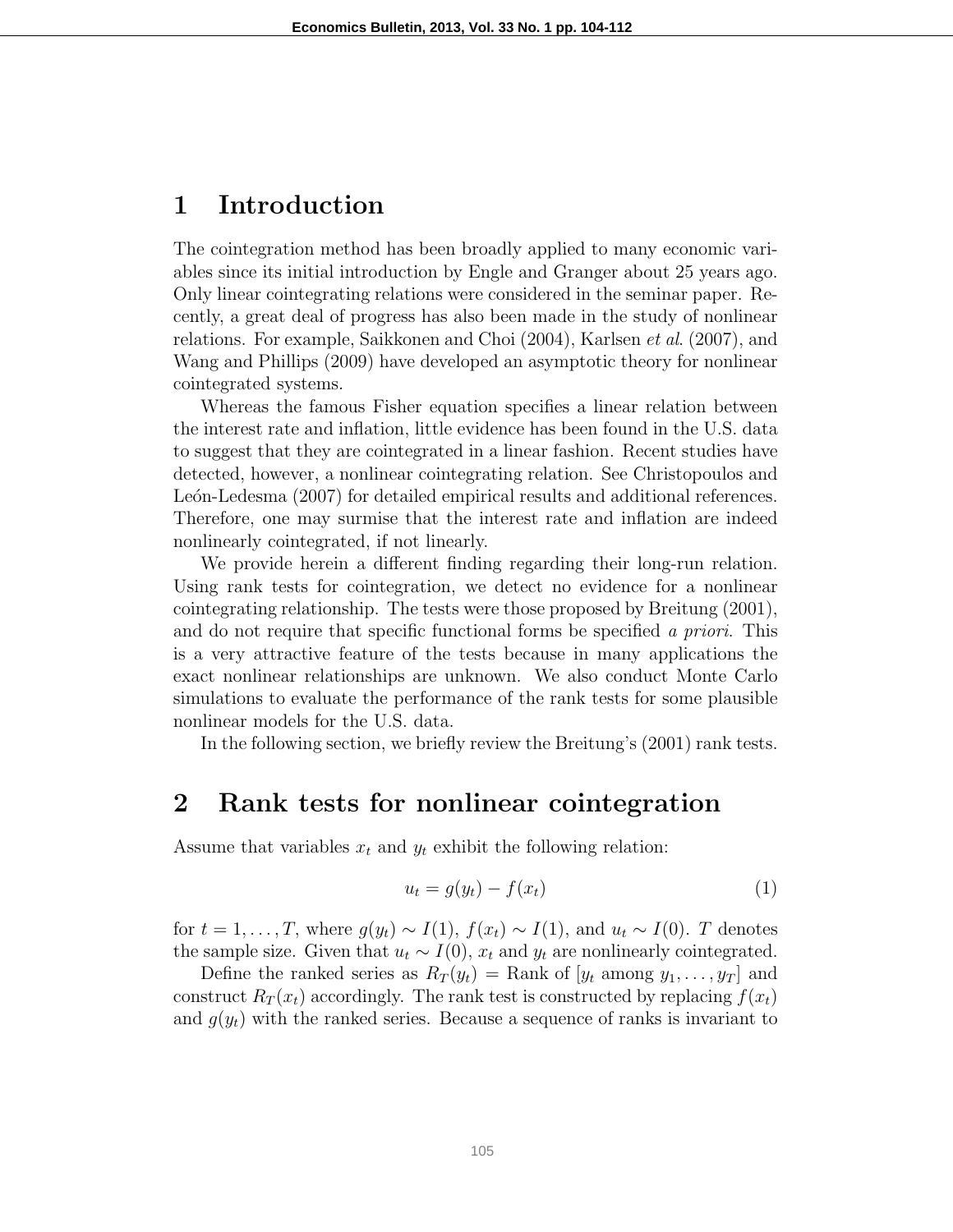### 1 Introduction

The cointegration method has been broadly applied to many economic variables since its initial introduction by Engle and Granger about 25 years ago. Only linear cointegrating relations were considered in the seminar paper. Recently, a great deal of progress has also been made in the study of nonlinear relations. For example, Saikkonen and Choi (2004), Karlsen et al. (2007), and Wang and Phillips (2009) have developed an asymptotic theory for nonlinear cointegrated systems.

Whereas the famous Fisher equation specifies a linear relation between the interest rate and inflation, little evidence has been found in the U.S. data to suggest that they are cointegrated in a linear fashion. Recent studies have detected, however, a nonlinear cointegrating relation. See Christopoulos and León-Ledesma (2007) for detailed empirical results and additional references. Therefore, one may surmise that the interest rate and inflation are indeed nonlinearly cointegrated, if not linearly.

We provide herein a different finding regarding their long-run relation. Using rank tests for cointegration, we detect no evidence for a nonlinear cointegrating relationship. The tests were those proposed by Breitung (2001), and do not require that specific functional forms be specified a priori. This is a very attractive feature of the tests because in many applications the exact nonlinear relationships are unknown. We also conduct Monte Carlo simulations to evaluate the performance of the rank tests for some plausible nonlinear models for the U.S. data.

In the following section, we briefly review the Breitung's (2001) rank tests.

### 2 Rank tests for nonlinear cointegration

Assume that variables  $x_t$  and  $y_t$  exhibit the following relation:

$$
u_t = g(y_t) - f(x_t) \tag{1}
$$

for  $t = 1, ..., T$ , where  $g(y_t) \sim I(1)$ ,  $f(x_t) \sim I(1)$ , and  $u_t \sim I(0)$ . T denotes the sample size. Given that  $u_t \sim I(0)$ ,  $x_t$  and  $y_t$  are nonlinearly cointegrated.

Define the ranked series as  $R_T(y_t) = \text{Rank of } [y_t \text{ among } y_1, \ldots, y_T]$  and construct  $R_T(x_t)$  accordingly. The rank test is constructed by replacing  $f(x_t)$ and  $g(y_t)$  with the ranked series. Because a sequence of ranks is invariant to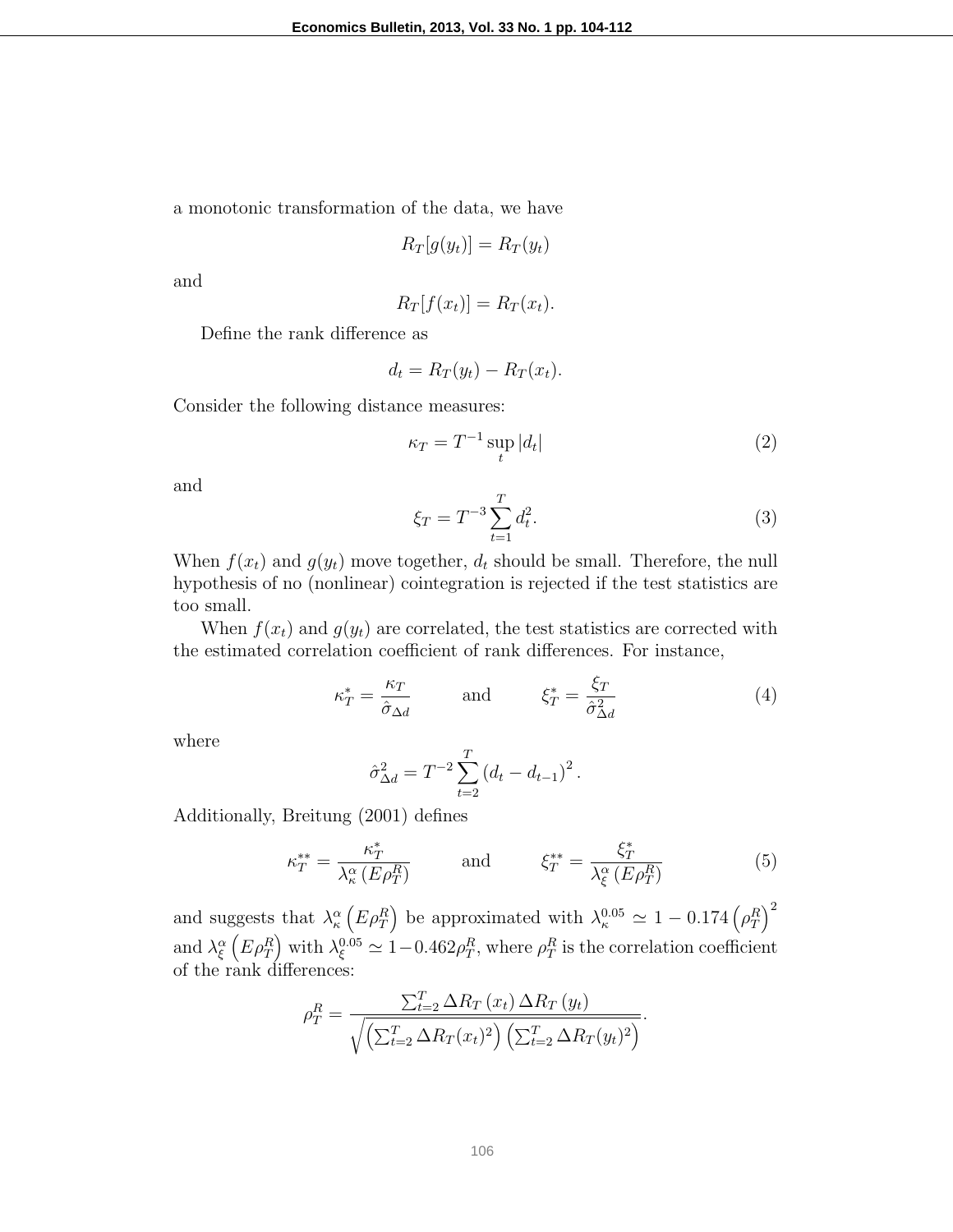a monotonic transformation of the data, we have

$$
R_T[g(y_t)] = R_T(y_t)
$$

and

$$
R_T[f(x_t)] = R_T(x_t).
$$

Define the rank difference as

$$
d_t = R_T(y_t) - R_T(x_t).
$$

Consider the following distance measures:

$$
\kappa_T = T^{-1} \sup_t |d_t| \tag{2}
$$

and

$$
\xi_T = T^{-3} \sum_{t=1}^T d_t^2.
$$
 (3)

When  $f(x_t)$  and  $g(y_t)$  move together,  $d_t$  should be small. Therefore, the null hypothesis of no (nonlinear) cointegration is rejected if the test statistics are too small.

When  $f(x_t)$  and  $g(y_t)$  are correlated, the test statistics are corrected with the estimated correlation coefficient of rank differences. For instance,

$$
\kappa_T^* = \frac{\kappa_T}{\hat{\sigma}_{\Delta d}} \quad \text{and} \quad \xi_T^* = \frac{\xi_T}{\hat{\sigma}_{\Delta d}^2} \tag{4}
$$

where

$$
\hat{\sigma}_{\Delta d}^2 = T^{-2} \sum_{t=2}^T (d_t - d_{t-1})^2.
$$

Additionally, Breitung (2001) defines

$$
\kappa_T^{**} = \frac{\kappa_T^*}{\lambda_\kappa^\alpha (E \rho_T^R)} \quad \text{and} \quad \xi_T^{**} = \frac{\xi_T^*}{\lambda_\xi^\alpha (E \rho_T^R)} \tag{5}
$$

and suggests that  $\lambda_{\kappa}^{\alpha} \left( E \rho_T^R \right)$  be approximated with  $\lambda_{\kappa}^{0.05} \simeq 1 - 0.174 \left( \rho_T^R \right)^2$ and  $\lambda_{\xi}^{\alpha}$  ( $E \rho_T^R$ ) with  $\lambda_{\xi}^{0.05} \simeq 1-0.462 \rho_T^R$ , where  $\rho_T^R$  is the correlation coefficient of the rank differences:

$$
\rho_T^R = \frac{\sum_{t=2}^T \Delta R_T(x_t) \,\Delta R_T(y_t)}{\sqrt{\left(\sum_{t=2}^T \Delta R_T(x_t)^2\right) \left(\sum_{t=2}^T \Delta R_T(y_t)^2\right)}}.
$$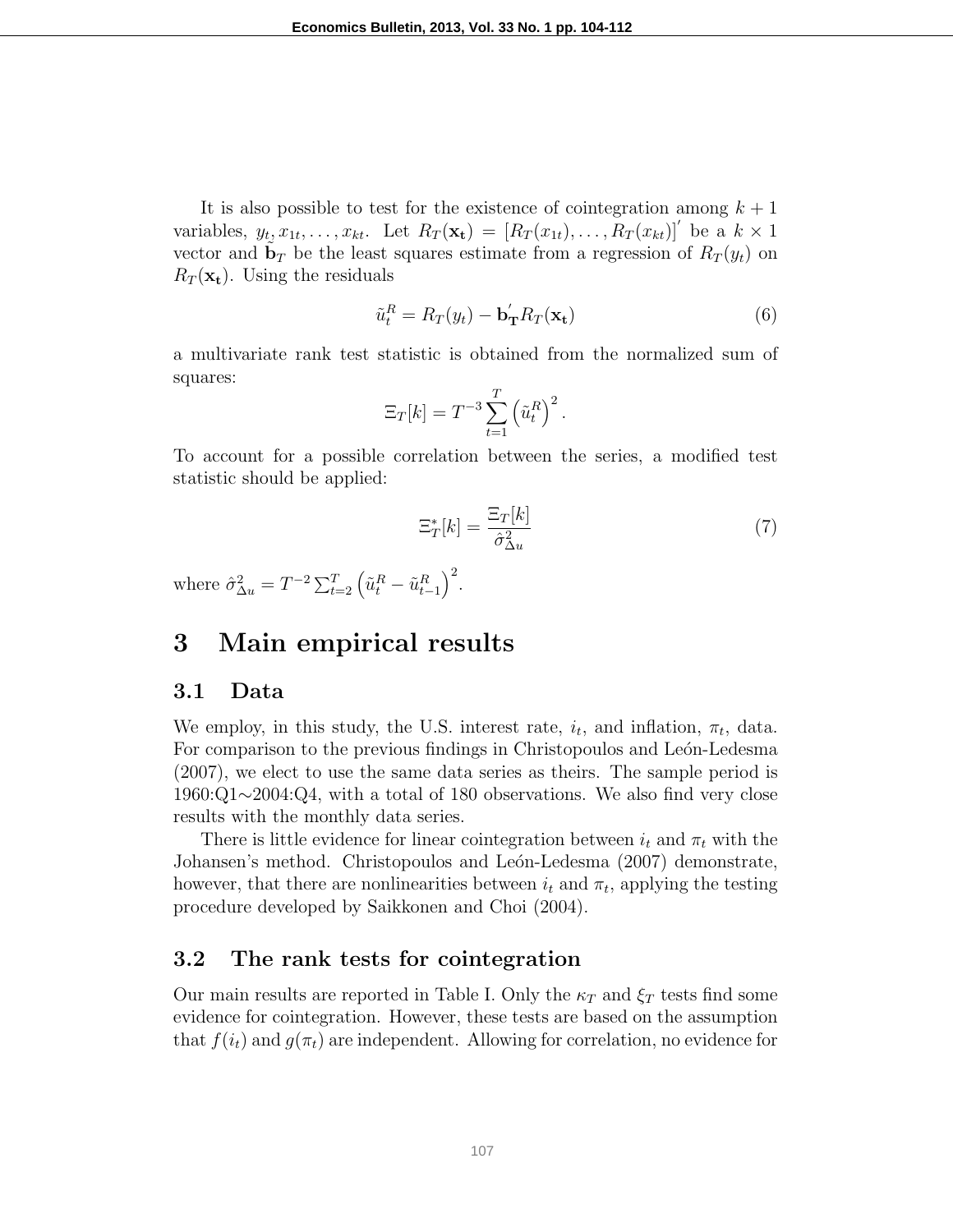It is also possible to test for the existence of cointegration among  $k + 1$ variables,  $y_t, x_{1t}, \ldots, x_{kt}$ . Let  $R_T(\mathbf{x_t}) = [R_T(x_{1t}), \ldots, R_T(x_{kt})]$  be a  $k \times 1$ vector and  $\tilde{\mathbf{b}}_T$  be the least squares estimate from a regression of  $R_T(y_t)$  on  $R_T(\mathbf{x_t})$ . Using the residuals

$$
\tilde{u}_t^R = R_T(y_t) - \mathbf{b}_\mathbf{T}' R_T(\mathbf{x}_t)
$$
\n(6)

a multivariate rank test statistic is obtained from the normalized sum of squares:

$$
\Xi_T[k] = T^{-3} \sum_{t=1}^T \left(\tilde{u}_t^R\right)^2.
$$

To account for a possible correlation between the series, a modified test statistic should be applied:

$$
\Xi_T^*[k] = \frac{\Xi_T[k]}{\hat{\sigma}_{\Delta u}^2} \tag{7}
$$

where  $\hat{\sigma}_{\Delta u}^2 = T^{-2} \sum_{t=2}^T \left( \tilde{u}_t^R - \tilde{u}_{t-1}^R \right)^2$ .

## 3 Main empirical results

#### 3.1 Data

We employ, in this study, the U.S. interest rate,  $i_t$ , and inflation,  $\pi_t$ , data. For comparison to the previous findings in Christopoulos and Leon-Ledesma (2007), we elect to use the same data series as theirs. The sample period is 1960:Q1∼2004:Q4, with a total of 180 observations. We also find very close results with the monthly data series.

There is little evidence for linear cointegration between  $i_t$  and  $\pi_t$  with the Johansen's method. Christopoulos and León-Ledesma (2007) demonstrate, however, that there are nonlinearities between  $i_t$  and  $\pi_t$ , applying the testing procedure developed by Saikkonen and Choi (2004).

#### 3.2 The rank tests for cointegration

Our main results are reported in Table I. Only the  $\kappa_T$  and  $\xi_T$  tests find some evidence for cointegration. However, these tests are based on the assumption that  $f(i_t)$  and  $g(\pi_t)$  are independent. Allowing for correlation, no evidence for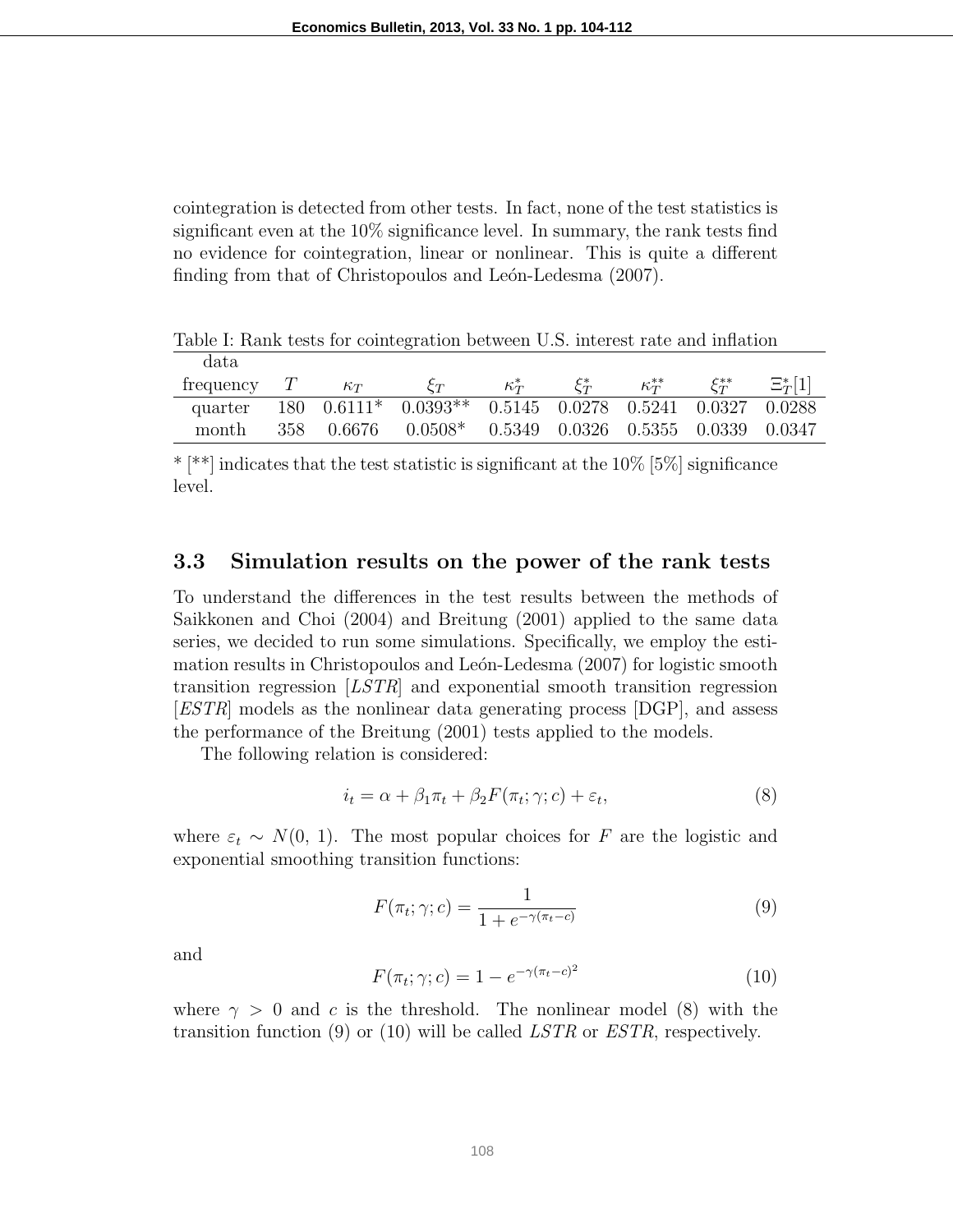cointegration is detected from other tests. In fact, none of the test statistics is significant even at the 10% significance level. In summary, the rank tests find no evidence for cointegration, linear or nonlinear. This is quite a different finding from that of Christopoulos and León-Ledesma (2007).

| Table I: Rank tests for cointegration between U.S. interest rate and inflation |   |            |                                                                      |              |                   |               |                      |              |
|--------------------------------------------------------------------------------|---|------------|----------------------------------------------------------------------|--------------|-------------------|---------------|----------------------|--------------|
| data.                                                                          |   |            |                                                                      |              |                   |               |                      |              |
| frequency                                                                      | T | $\kappa_T$ | $\mathcal{E}_{T}$                                                    | $\kappa_T^*$ | $\mathcal{E}_T^*$ | $\kappa^{**}$ | $\mathcal{E}_T^{**}$ | $\Xi^*_T[1]$ |
| quarter                                                                        |   |            | $\overline{180}$ 0.6111* 0.0393** 0.5145 0.0278 0.5241 0.0327 0.0288 |              |                   |               |                      |              |
| month                                                                          |   |            | 358  0.6676  0.0508*  0.5349  0.0326  0.5355  0.0339  0.0347         |              |                   |               |                      |              |

\* [\*\*] indicates that the test statistic is significant at the  $10\%$  [5%] significance level.

#### 3.3 Simulation results on the power of the rank tests

To understand the differences in the test results between the methods of Saikkonen and Choi (2004) and Breitung (2001) applied to the same data series, we decided to run some simulations. Specifically, we employ the estimation results in Christopoulos and León-Ledesma (2007) for logistic smooth transition regression [LSTR] and exponential smooth transition regression [ESTR] models as the nonlinear data generating process [DGP], and assess the performance of the Breitung (2001) tests applied to the models.

The following relation is considered:

$$
i_t = \alpha + \beta_1 \pi_t + \beta_2 F(\pi_t; \gamma; c) + \varepsilon_t,\tag{8}
$$

where  $\varepsilon_t \sim N(0, 1)$ . The most popular choices for F are the logistic and exponential smoothing transition functions:

$$
F(\pi_t; \gamma; c) = \frac{1}{1 + e^{-\gamma(\pi_t - c)}}\tag{9}
$$

and

$$
F(\pi_t; \gamma; c) = 1 - e^{-\gamma(\pi_t - c)^2}
$$
\n(10)

where  $\gamma > 0$  and c is the threshold. The nonlinear model (8) with the transition function (9) or (10) will be called  $LSTR$  or  $ESTR$ , respectively.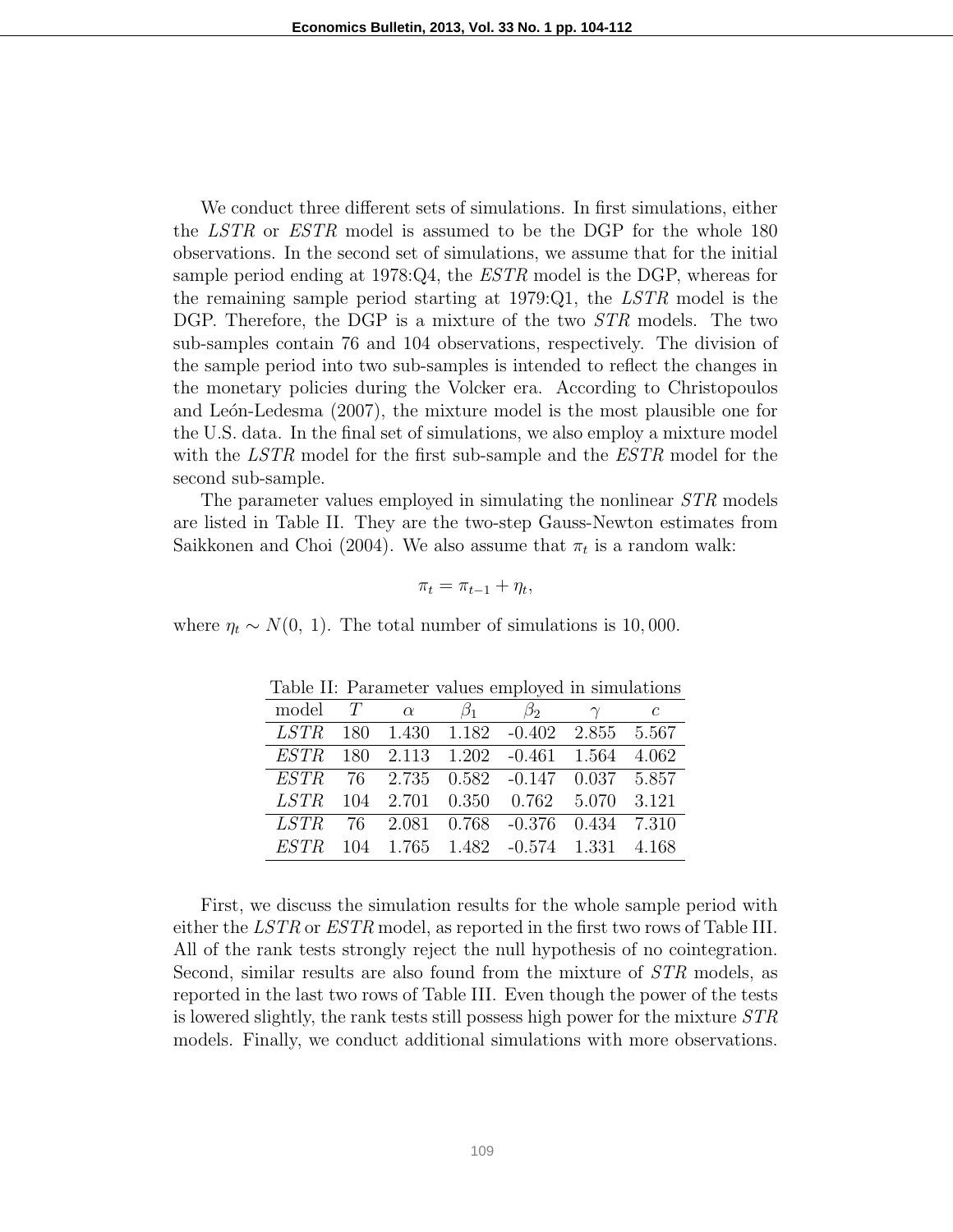We conduct three different sets of simulations. In first simulations, either the LSTR or ESTR model is assumed to be the DGP for the whole 180 observations. In the second set of simulations, we assume that for the initial sample period ending at 1978:Q4, the  $ESTR$  model is the DGP, whereas for the remaining sample period starting at 1979:Q1, the LSTR model is the DGP. Therefore, the DGP is a mixture of the two *STR* models. The two sub-samples contain 76 and 104 observations, respectively. The division of the sample period into two sub-samples is intended to reflect the changes in the monetary policies during the Volcker era. According to Christopoulos and León-Ledesma  $(2007)$ , the mixture model is the most plausible one for the U.S. data. In the final set of simulations, we also employ a mixture model with the LSTR model for the first sub-sample and the ESTR model for the second sub-sample.

The parameter values employed in simulating the nonlinear  $STR$  models are listed in Table II. They are the two-step Gauss-Newton estimates from Saikkonen and Choi (2004). We also assume that  $\pi_t$  is a random walk:

$$
\pi_t = \pi_{t-1} + \eta_t,
$$

where  $\eta_t \sim N(0, 1)$ . The total number of simulations is 10,000.

|       |  | model T $\alpha$ $\beta_1$ $\beta_2$ $\gamma$ c |  |
|-------|--|-------------------------------------------------|--|
|       |  | LSTR 180 1.430 1.182 -0.402 2.855 5.567         |  |
|       |  | ESTR 180 2.113 1.202 -0.461 1.564 4.062         |  |
|       |  | ESTR 76 2.735 0.582 -0.147 0.037 5.857          |  |
| LSTR. |  | 104 2.701 0.350 0.762 5.070 3.121               |  |
|       |  | LSTR 76 2.081 0.768 -0.376 0.434 7.310          |  |
|       |  | ESTR 104 1.765 1.482 -0.574 1.331 4.168         |  |

Table II: Parameter values employed in simulations

First, we discuss the simulation results for the whole sample period with either the LSTR or ESTR model, as reported in the first two rows of Table III. All of the rank tests strongly reject the null hypothesis of no cointegration. Second, similar results are also found from the mixture of STR models, as reported in the last two rows of Table III. Even though the power of the tests is lowered slightly, the rank tests still possess high power for the mixture STR models. Finally, we conduct additional simulations with more observations.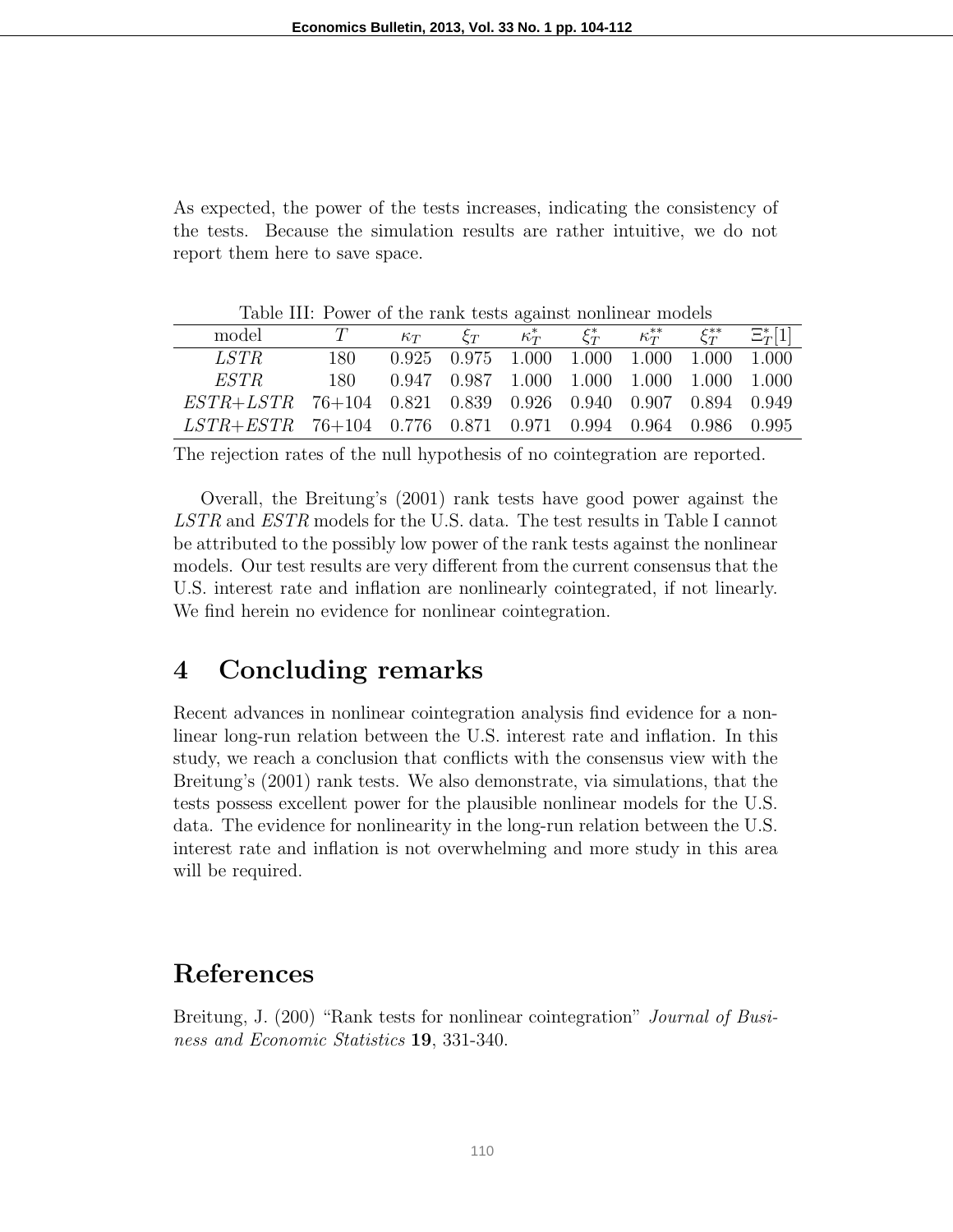As expected, the power of the tests increases, indicating the consistency of the tests. Because the simulation results are rather intuitive, we do not report them here to save space.

| Table III: Power of the rank tests against nonlinear models |      |            |                                                         |                      |  |                           |              |              |
|-------------------------------------------------------------|------|------------|---------------------------------------------------------|----------------------|--|---------------------------|--------------|--------------|
| model                                                       | T    | $\kappa_T$ |                                                         | $\xi_T$ $\kappa_T^*$ |  | $\xi_T^*$ $\kappa_T^{**}$ | $\xi_T^{**}$ | $\Xi^*_T[1]$ |
| <i>LSTR</i>                                                 | 180- |            | $0.925$ $0.975$ $1.000$ $1.000$ $1.000$ $1.000$ $1.000$ |                      |  |                           |              |              |
| ESTR                                                        |      |            | $0.947$ $0.987$ $1.000$ $1.000$ $1.000$ $1.000$ $1.000$ |                      |  |                           |              |              |
| ESTR+LSTR 76+104 0.821 0.839 0.926 0.940 0.907 0.894 0.949  |      |            |                                                         |                      |  |                           |              |              |
| LSTR+ESTR 76+104 0.776 0.871 0.971 0.994 0.964 0.986 0.995  |      |            |                                                         |                      |  |                           |              |              |

The rejection rates of the null hypothesis of no cointegration are reported.

Overall, the Breitung's (2001) rank tests have good power against the LSTR and ESTR models for the U.S. data. The test results in Table I cannot be attributed to the possibly low power of the rank tests against the nonlinear models. Our test results are very different from the current consensus that the U.S. interest rate and inflation are nonlinearly cointegrated, if not linearly. We find herein no evidence for nonlinear cointegration.

### 4 Concluding remarks

Recent advances in nonlinear cointegration analysis find evidence for a nonlinear long-run relation between the U.S. interest rate and inflation. In this study, we reach a conclusion that conflicts with the consensus view with the Breitung's (2001) rank tests. We also demonstrate, via simulations, that the tests possess excellent power for the plausible nonlinear models for the U.S. data. The evidence for nonlinearity in the long-run relation between the U.S. interest rate and inflation is not overwhelming and more study in this area will be required.

# References

Breitung, J. (200) "Rank tests for nonlinear cointegration" *Journal of Busi*ness and Economic Statistics 19, 331-340.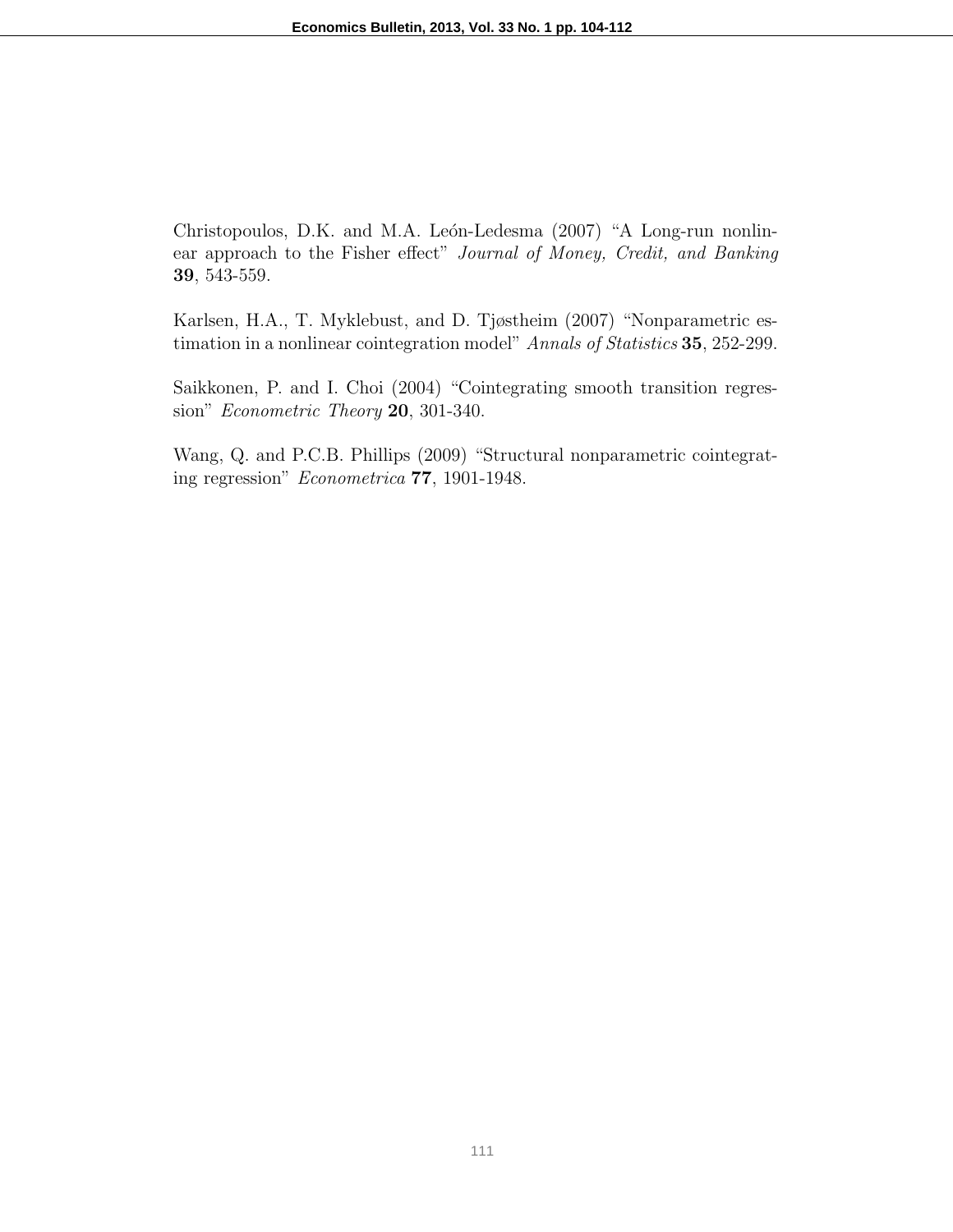Christopoulos, D.K. and M.A. León-Ledesma (2007) "A Long-run nonlinear approach to the Fisher effect" Journal of Money, Credit, and Banking 39, 543-559.

Karlsen, H.A., T. Myklebust, and D. Tjøstheim (2007) "Nonparametric estimation in a nonlinear cointegration model" Annals of Statistics 35, 252-299.

Saikkonen, P. and I. Choi (2004) "Cointegrating smooth transition regression" Econometric Theory 20, 301-340.

Wang, Q. and P.C.B. Phillips (2009) "Structural nonparametric cointegrating regression" Econometrica 77, 1901-1948.